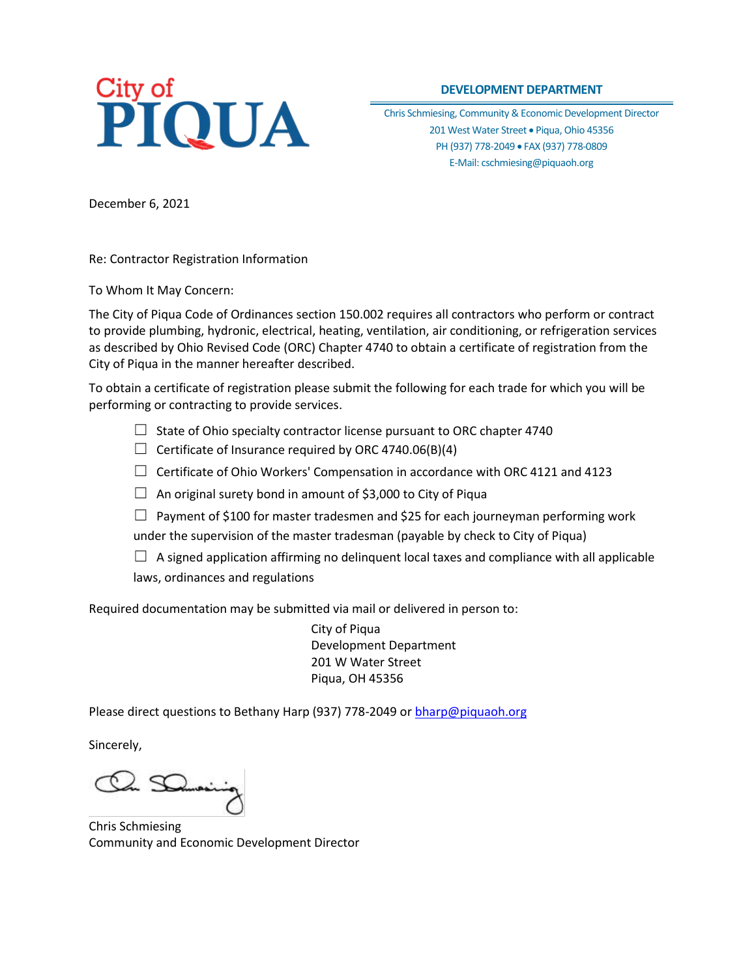# City of<br>PIQUA

## **DEVELOPMENT DEPARTMENT**

Chris Schmiesing, Community & Economic Development Director 201 West Water Street . Piqua, Ohio 45356 PH (937) 778-2049 · FAX (937) 778-0809 E-Mail: cschmiesing@piquaoh.org

December 6, 2021

Re: Contractor Registration Information

To Whom It May Concern:

The City of Piqua Code of Ordinances section 150.002 requires all contractors who perform or contract to provide plumbing, hydronic, electrical, heating, ventilation, air conditioning, or refrigeration services as described by Ohio Revised Code (ORC) Chapter 4740 to obtain a certificate of registration from the City of Piqua in the manner hereafter described.

To obtain a certificate of registration please submit the following for each trade for which you will be performing or contracting to provide services.

- $\Box$  State of Ohio specialty contractor license pursuant to ORC chapter 4740
- $\Box$  Certificate of Insurance required by ORC 4740.06(B)(4)
- $\Box$  Certificate of Ohio Workers' Compensation in accordance with ORC 4121 and 4123
- $\Box$  An original surety bond in amount of \$3,000 to City of Piqua
- $\Box$  Payment of \$100 for master tradesmen and \$25 for each journeyman performing work under the supervision of the master tradesman (payable by check to City of Piqua)
- $\Box$  A signed application affirming no delinguent local taxes and compliance with all applicable laws, ordinances and regulations

Required documentation may be submitted via mail or delivered in person to:

City of Piqua Development Department 201 W Water Street Piqua, OH 45356

Please direct questions to Bethany Harp (937) 778-2049 or [bharp@piquaoh.org](mailto:bharp@piquaoh.org)

Sincerely,

Chris Schmiesing Community and Economic Development Director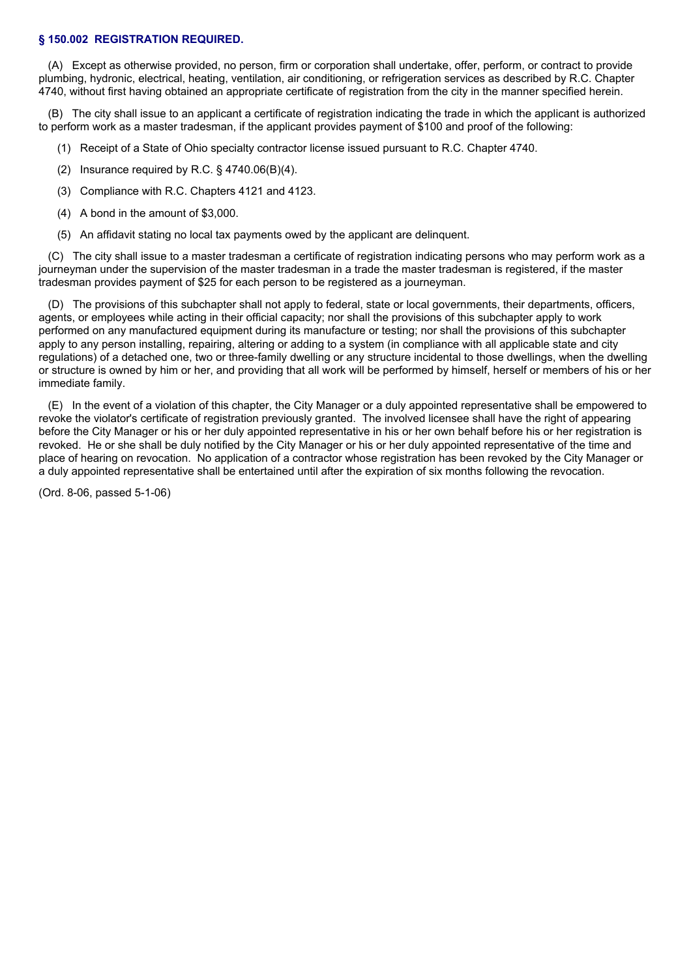### **§ 150.002 REGISTRATION REQUIRED.**

(A) Except as otherwise provided, no person, firm or corporation shall undertake, offer, perform, or contract to provide plumbing, hydronic, electrical, heating, ventilation, air conditioning, or refrigeration services as described by R.C. Chapter 4740, without first having obtained an appropriate certificate of registration from the city in the manner specified herein.

(B) The city shall issue to an applicant a certificate of registration indicating the trade in which the applicant is authorized to perform work as a master tradesman, if the applicant provides payment of \$100 and proof of the following:

- (1) Receipt of a State of Ohio specialty contractor license issued pursuant to R.C. Chapter 4740.
- (2) Insurance required by R.C. § 4740.06(B)(4).
- (3) Compliance with R.C. Chapters 4121 and 4123.
- (4) A bond in the amount of \$3,000.
- (5) An affidavit stating no local tax payments owed by the applicant are delinquent.

(C) The city shall issue to a master tradesman a certificate of registration indicating persons who may perform work as a journeyman under the supervision of the master tradesman in a trade the master tradesman is registered, if the master tradesman provides payment of \$25 for each person to be registered as a journeyman.

(D) The provisions of this subchapter shall not apply to federal, state or local governments, their departments, officers, agents, or employees while acting in their official capacity; nor shall the provisions of this subchapter apply to work performed on any manufactured equipment during its manufacture or testing; nor shall the provisions of this subchapter apply to any person installing, repairing, altering or adding to a system (in compliance with all applicable state and city regulations) of a detached one, two or three-family dwelling or any structure incidental to those dwellings, when the dwelling or structure is owned by him or her, and providing that all work will be performed by himself, herself or members of his or her immediate family.

(E) In the event of a violation of this chapter, the City Manager or a duly appointed representative shall be empowered to revoke the violator's certificate of registration previously granted. The involved licensee shall have the right of appearing before the City Manager or his or her duly appointed representative in his or her own behalf before his or her registration is revoked. He or she shall be duly notified by the City Manager or his or her duly appointed representative of the time and place of hearing on revocation. No application of a contractor whose registration has been revoked by the City Manager or a duly appointed representative shall be entertained until after the expiration of six months following the revocation.

(Ord. 8-06, passed 5-1-06)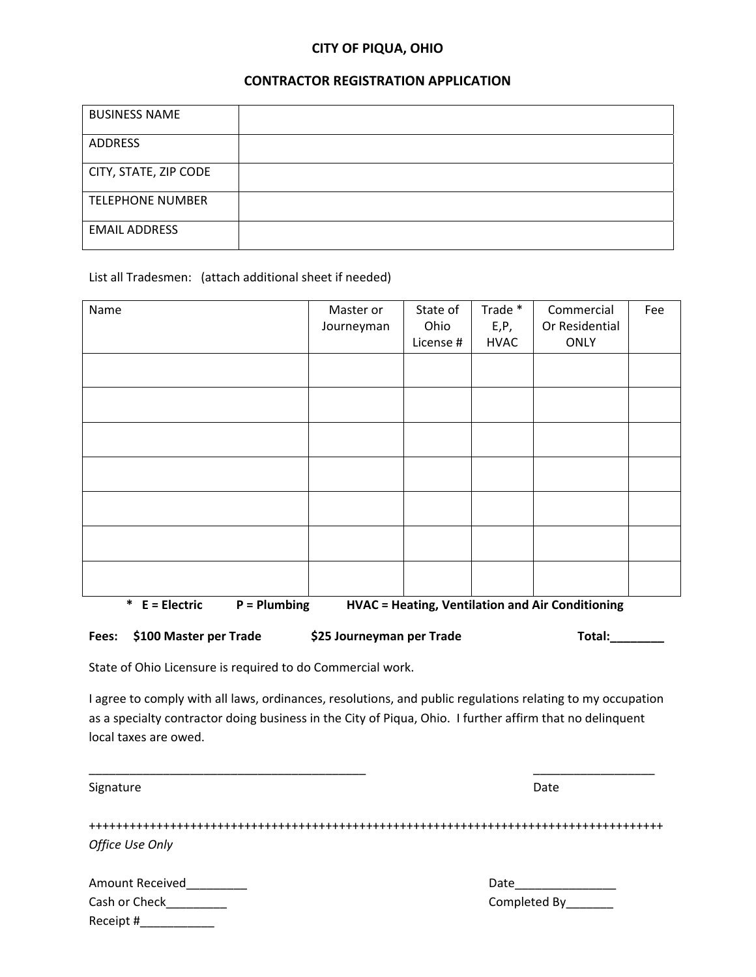# **CITY OF PIQUA, OHIO**

# **CONTRACTOR REGISTRATION APPLICATION**

| <b>BUSINESS NAME</b>    |  |
|-------------------------|--|
| <b>ADDRESS</b>          |  |
| CITY, STATE, ZIP CODE   |  |
| <b>TELEPHONE NUMBER</b> |  |
| <b>EMAIL ADDRESS</b>    |  |

List all Tradesmen: (attach additional sheet if needed)

| Name                                                                                   | Master or  | State of  | Trade *     | Commercial     | Fee |
|----------------------------------------------------------------------------------------|------------|-----------|-------------|----------------|-----|
|                                                                                        | Journeyman | Ohio      | E, P,       | Or Residential |     |
|                                                                                        |            | License # | <b>HVAC</b> | <b>ONLY</b>    |     |
|                                                                                        |            |           |             |                |     |
|                                                                                        |            |           |             |                |     |
|                                                                                        |            |           |             |                |     |
|                                                                                        |            |           |             |                |     |
|                                                                                        |            |           |             |                |     |
|                                                                                        |            |           |             |                |     |
|                                                                                        |            |           |             |                |     |
|                                                                                        |            |           |             |                |     |
|                                                                                        |            |           |             |                |     |
|                                                                                        |            |           |             |                |     |
|                                                                                        |            |           |             |                |     |
|                                                                                        |            |           |             |                |     |
|                                                                                        |            |           |             |                |     |
|                                                                                        |            |           |             |                |     |
| * $E = Electric$<br>$P =$ Plumbing<br>HVAC = Heating, Ventilation and Air Conditioning |            |           |             |                |     |

| Fees: \$100 Master per Trade | \$25 Journeyman per Trade | Total: |
|------------------------------|---------------------------|--------|
|                              |                           |        |

State of Ohio Licensure is required to do Commercial work.

I agree to comply with all laws, ordinances, resolutions, and public regulations relating to my occupation as a specialty contractor doing business in the City of Piqua, Ohio. I further affirm that no delinquent local taxes are owed.

| Signature       | Date          |
|-----------------|---------------|
|                 |               |
| Office Use Only |               |
| Amount Received | Date          |
| Cash or Check   | Completed By_ |
| Receipt #       |               |